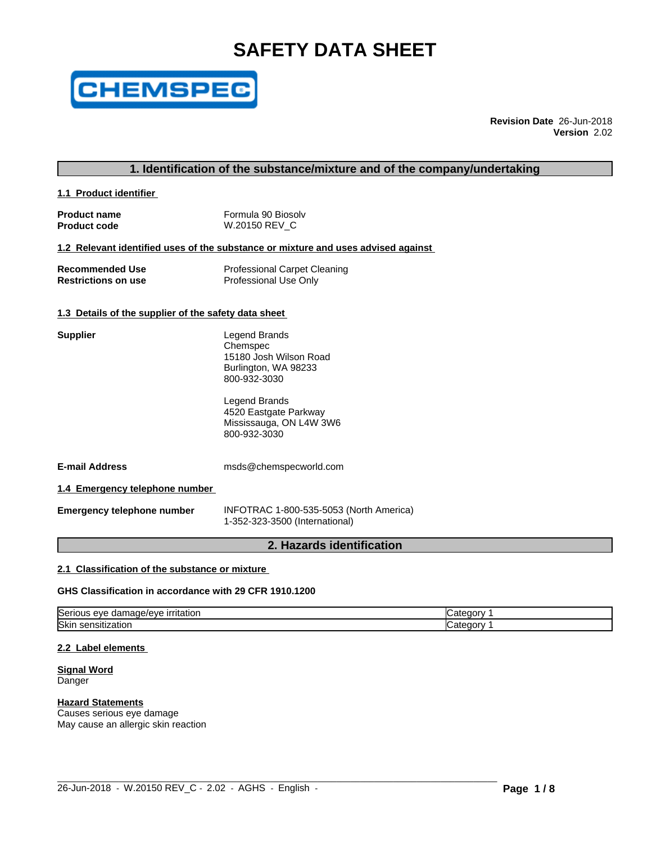# **SAFETY DATA SHEET**



**Revision Date** 26-Jun-2018 **Version** 2.02

# **1. Identification of the substance/mixture and of the company/undertaking**

**1.1 Product identifier** 

| <b>Product name</b> | Formula 90 Biosoly |
|---------------------|--------------------|
| <b>Product code</b> | W.20150 REV C      |

#### **1.2 Relevant identified uses of the substance or mixture and uses advised against**

| <b>Recommended Use</b>     | <b>Professional Carpet Cleaning</b> |
|----------------------------|-------------------------------------|
| <b>Restrictions on use</b> | Professional Use Only               |

#### **1.3 Details of the supplier of the safety data sheet**

| <b>Supplier</b>                       | Legend Brands<br>Chemspec<br>15180 Josh Wilson Road<br>Burlington, WA 98233<br>800-932-3030 |
|---------------------------------------|---------------------------------------------------------------------------------------------|
|                                       | Legend Brands<br>4520 Eastgate Parkway<br>Mississauga, ON L4W 3W6<br>800-932-3030           |
| <b>E-mail Address</b>                 | msds@chemspecworld.com                                                                      |
| 1.4 Emergency telephone number        |                                                                                             |
| Fareward and the back and a monetage. | $INICOMONAA$ 4.000 $FOTRO$ (North America)                                                  |

**Emergency telephone number** INFOTRAC 1-800-535-5053 (North America) 1-352-323-3500 (International)

# **2. Hazards identification**

#### **2.1 Classification of the substance or mixture**

#### **GHS Classification in accordance with 29 CFR 1910.1200**

| $\tilde{}$<br>$-1$<br><u>irritation</u><br>iserio<br>. ade/eve :<br>eve<br>aar<br>ious | דר<br>ا ا اس        |
|----------------------------------------------------------------------------------------|---------------------|
| <b>Skir</b><br>ısıtız<br>zatior<br>- SU '                                              | . IOLV<br>דר<br>⊿н≖ |

 $\_$  ,  $\_$  ,  $\_$  ,  $\_$  ,  $\_$  ,  $\_$  ,  $\_$  ,  $\_$  ,  $\_$  ,  $\_$  ,  $\_$  ,  $\_$  ,  $\_$  ,  $\_$  ,  $\_$  ,  $\_$  ,  $\_$  ,  $\_$  ,  $\_$  ,  $\_$  ,  $\_$  ,  $\_$  ,  $\_$  ,  $\_$  ,  $\_$  ,  $\_$  ,  $\_$  ,  $\_$  ,  $\_$  ,  $\_$  ,  $\_$  ,  $\_$  ,  $\_$  ,  $\_$  ,  $\_$  ,  $\_$  ,  $\_$  ,

#### **2.2 Label elements**

#### **Signal Word** Danger

# **Hazard Statements**

Causes serious eye damage May cause an allergic skin reaction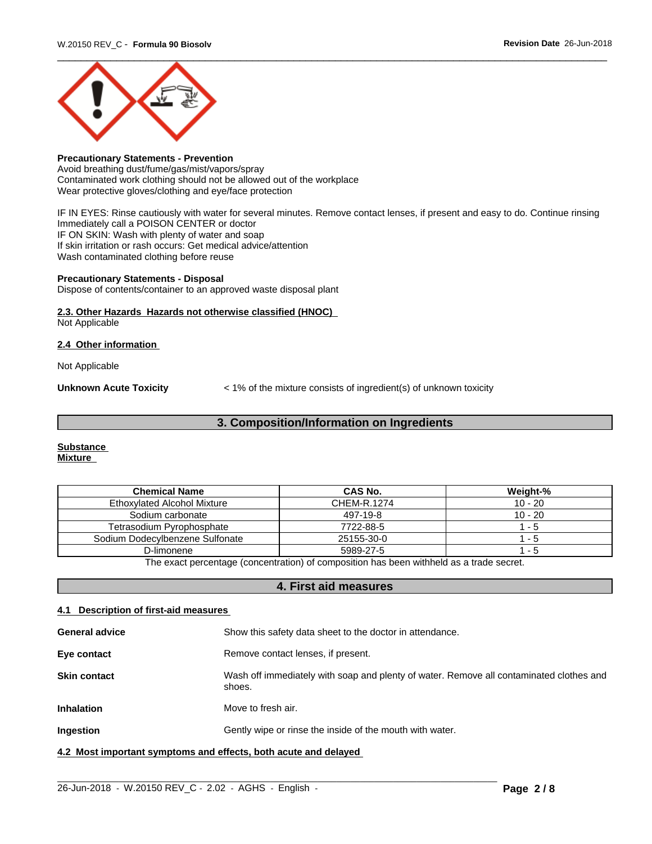

# **Precautionary Statements - Prevention**

Avoid breathing dust/fume/gas/mist/vapors/spray Contaminated work clothing should not be allowed out of the workplace Wear protective gloves/clothing and eye/face protection

IF IN EYES: Rinse cautiously with water for several minutes. Remove contact lenses, if present and easy to do. Continue rinsing Immediately call a POISON CENTER or doctor IF ON SKIN: Wash with plenty of water and soap If skin irritation or rash occurs: Get medical advice/attention Wash contaminated clothing before reuse

#### **Precautionary Statements - Disposal**

Dispose of contents/container to an approved waste disposal plant

# **2.3. Other Hazards Hazards not otherwise classified (HNOC)**

Not Applicable

#### **2.4 Other information**

Not Applicable

**Unknown Acute Toxicity**  $\lt$  1% of the mixture consists of ingredient(s) of unknown toxicity

# **3. Composition/Information on Ingredients**

#### **Substance Mixture**

| <b>Chemical Name</b>                                                                    | CAS No.     | Weight-%  |  |
|-----------------------------------------------------------------------------------------|-------------|-----------|--|
| <b>Ethoxylated Alcohol Mixture</b>                                                      | CHEM-R.1274 | $10 - 20$ |  |
| Sodium carbonate                                                                        | 497-19-8    | $10 - 20$ |  |
| Tetrasodium Pyrophosphate                                                               | 7722-88-5   | - 5       |  |
| Sodium Dodecylbenzene Sulfonate                                                         | 25155-30-0  | - 5       |  |
| D-limonene                                                                              | 5989-27-5   | - 5       |  |
| The exact perceptage (conceptration) of composition has been withheld as a trade secret |             |           |  |

The exact percentage (concentration) of composition has been withheld as a trade secret.

# **4. First aid measures**

# **4.1 Description of first-aid measures**

| <b>General advice</b>                                           | Show this safety data sheet to the doctor in attendance.                                          |  |
|-----------------------------------------------------------------|---------------------------------------------------------------------------------------------------|--|
| Eye contact                                                     | Remove contact lenses, if present.                                                                |  |
| <b>Skin contact</b>                                             | Wash off immediately with soap and plenty of water. Remove all contaminated clothes and<br>shoes. |  |
| <b>Inhalation</b>                                               | Move to fresh air.                                                                                |  |
| Ingestion                                                       | Gently wipe or rinse the inside of the mouth with water.                                          |  |
| 4.2 Most important symptoms and effects, both acute and delayed |                                                                                                   |  |

 $\_$  ,  $\_$  ,  $\_$  ,  $\_$  ,  $\_$  ,  $\_$  ,  $\_$  ,  $\_$  ,  $\_$  ,  $\_$  ,  $\_$  ,  $\_$  ,  $\_$  ,  $\_$  ,  $\_$  ,  $\_$  ,  $\_$  ,  $\_$  ,  $\_$  ,  $\_$  ,  $\_$  ,  $\_$  ,  $\_$  ,  $\_$  ,  $\_$  ,  $\_$  ,  $\_$  ,  $\_$  ,  $\_$  ,  $\_$  ,  $\_$  ,  $\_$  ,  $\_$  ,  $\_$  ,  $\_$  ,  $\_$  ,  $\_$  ,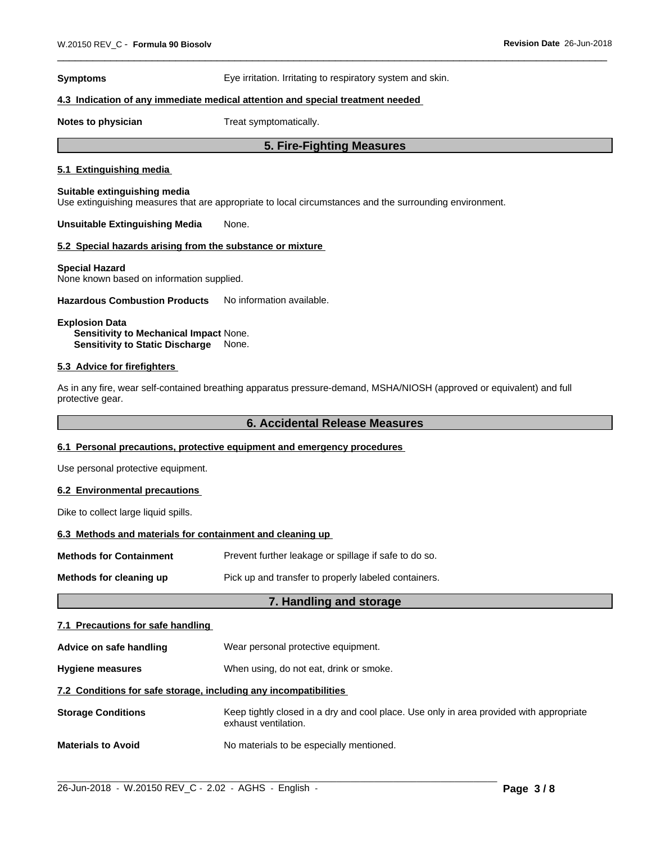**Symptoms** Eye irritation. Irritating to respiratory system and skin.

#### **4.3 Indication of any immediate medical attention and special treatment needed**

**Notes to physician** Treat symptomatically.

# **5. Fire-Fighting Measures**

# **5.1 Extinguishing media**

#### **Suitable extinguishing media**

Use extinguishing measures that are appropriate to local circumstances and the surrounding environment.

**Unsuitable Extinguishing Media** None.

#### **5.2 Special hazards arising from the substance or mixture**

#### **Special Hazard**

None known based on information supplied.

**Hazardous Combustion Products** No information available.

**Explosion Data Sensitivity to Mechanical Impact** None. **Sensitivity to Static Discharge** None.

#### **5.3 Advice for firefighters**

As in any fire, wear self-contained breathing apparatus pressure-demand, MSHA/NIOSH (approved or equivalent) and full protective gear.

#### **6. Accidental Release Measures**

#### **6.1 Personal precautions, protective equipment and emergency procedures**

Use personal protective equipment.

#### **6.2 Environmental precautions**

Dike to collect large liquid spills.

#### **6.3 Methods and materials for containment and cleaning up**

| <b>Methods for Containment</b> | Prevent further leakage or spillage if safe to do so. |
|--------------------------------|-------------------------------------------------------|
| Methods for cleaning up        | Pick up and transfer to properly labeled containers.  |

# **7. Handling and storage**

#### **7.1 Precautions for safe handling**

**Advice on safe handling** Wear personal protective equipment.

**Hygiene measures** When using, do not eat, drink or smoke.

#### **7.2 Conditions for safe storage, including any incompatibilities**

**Storage Conditions** Keep tightly closed in a dry and cool place. Use only in area provided with appropriate exhaust ventilation.

 $\_$  ,  $\_$  ,  $\_$  ,  $\_$  ,  $\_$  ,  $\_$  ,  $\_$  ,  $\_$  ,  $\_$  ,  $\_$  ,  $\_$  ,  $\_$  ,  $\_$  ,  $\_$  ,  $\_$  ,  $\_$  ,  $\_$  ,  $\_$  ,  $\_$  ,  $\_$  ,  $\_$  ,  $\_$  ,  $\_$  ,  $\_$  ,  $\_$  ,  $\_$  ,  $\_$  ,  $\_$  ,  $\_$  ,  $\_$  ,  $\_$  ,  $\_$  ,  $\_$  ,  $\_$  ,  $\_$  ,  $\_$  ,  $\_$  ,

**Materials to Avoid** No materials to be especially mentioned.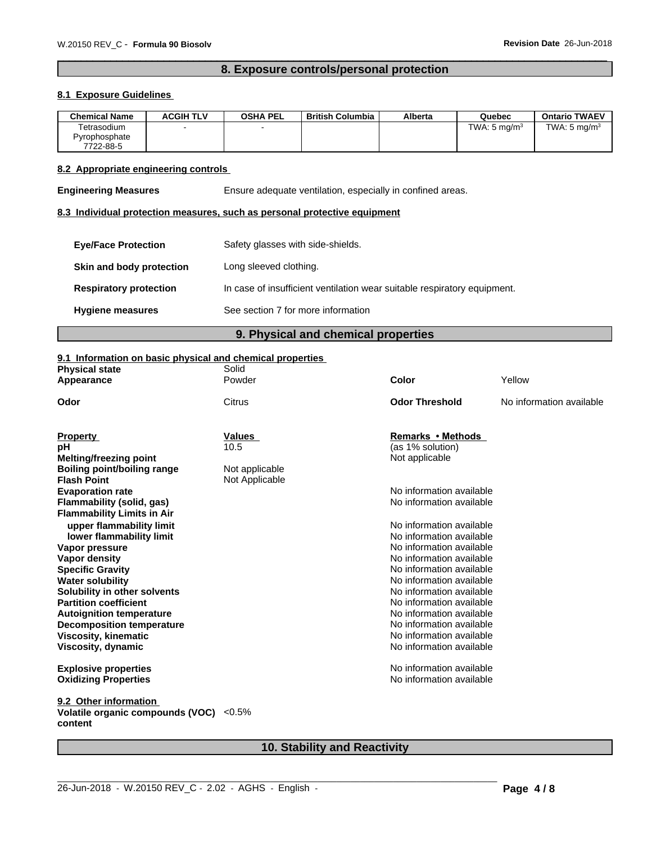# **8. Exposure controls/personal protection**

# **8.1 Exposure Guidelines**

| <b>Chemical Name</b> | <b>ACGIH TLV</b> | <b>OSHA PEL</b> | British Columbia | Alberta | Quebec                  | <b>Ontario TWAEV</b>    |
|----------------------|------------------|-----------------|------------------|---------|-------------------------|-------------------------|
| Tetrasodium          |                  |                 |                  |         | TWA: $5 \text{ ma/m}^3$ | TWA: $5 \text{ ma/m}^3$ |
| Pyrophosphate        |                  |                 |                  |         |                         |                         |
| 7722-88-5            |                  |                 |                  |         |                         |                         |

# **8.2 Appropriate engineering controls**

**Engineering Measures** Ensure adequate ventilation, especially in confined areas.

# **8.3 Individual protection measures, such as personal protective equipment**

| <b>Eve/Face Protection</b>    | Safety glasses with side-shields.                                        |
|-------------------------------|--------------------------------------------------------------------------|
| Skin and body protection      | Long sleeved clothing.                                                   |
| <b>Respiratory protection</b> | In case of insufficient ventilation wear suitable respiratory equipment. |
| <b>Hygiene measures</b>       | See section 7 for more information                                       |

# **9. Physical and chemical properties**

#### **9.1 Information on basic physical and chemical properties**

| <b>Physical state</b>             | Solid          |                          |                          |
|-----------------------------------|----------------|--------------------------|--------------------------|
| Appearance                        | Powder         | Color                    | Yellow                   |
| Odor                              | Citrus         | <b>Odor Threshold</b>    | No information available |
|                                   |                |                          |                          |
| <b>Property</b>                   | Values         | Remarks • Methods        |                          |
| рH                                | 10.5           | (as 1% solution)         |                          |
| <b>Melting/freezing point</b>     |                | Not applicable           |                          |
| Boiling point/boiling range       | Not applicable |                          |                          |
| <b>Flash Point</b>                | Not Applicable |                          |                          |
| <b>Evaporation rate</b>           |                | No information available |                          |
| Flammability (solid, gas)         |                | No information available |                          |
| <b>Flammability Limits in Air</b> |                |                          |                          |
| upper flammability limit          |                | No information available |                          |
| lower flammability limit          |                | No information available |                          |
| Vapor pressure                    |                | No information available |                          |
| <b>Vapor density</b>              |                | No information available |                          |
| <b>Specific Gravity</b>           |                | No information available |                          |
| <b>Water solubility</b>           |                | No information available |                          |
| Solubility in other solvents      |                | No information available |                          |
| <b>Partition coefficient</b>      |                | No information available |                          |
| <b>Autoignition temperature</b>   |                | No information available |                          |
| <b>Decomposition temperature</b>  |                | No information available |                          |
| <b>Viscosity, kinematic</b>       |                | No information available |                          |
| Viscosity, dynamic                |                | No information available |                          |
| <b>Explosive properties</b>       |                | No information available |                          |
| <b>Oxidizing Properties</b>       |                | No information available |                          |
| 9.2 Other information             |                |                          |                          |
| Volatile organic compounds (VOC)  | $< 0.5\%$      |                          |                          |
| content                           |                |                          |                          |

# **10. Stability and Reactivity**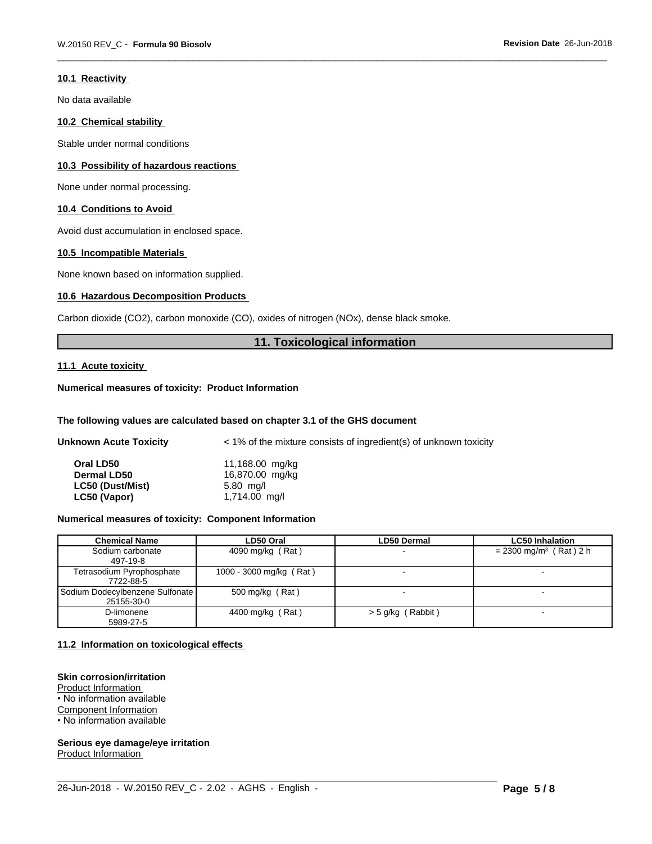#### **10.1 Reactivity**

No data available

#### **10.2 Chemical stability**

Stable under normal conditions

#### **10.3 Possibility of hazardous reactions**

None under normal processing.

#### **10.4 Conditions to Avoid**

Avoid dust accumulation in enclosed space.

#### **10.5 Incompatible Materials**

None known based on information supplied.

#### **10.6 Hazardous Decomposition Products**

Carbon dioxide (CO2), carbon monoxide (CO), oxides of nitrogen (NOx), dense black smoke.

# **11. Toxicological information**

#### **11.1 Acute toxicity**

# **Numerical measures of toxicity: Product Information**

#### **The following values are calculated based on chapter 3.1 of the GHS document**

| <b>Unknown Acute Toxicity</b> | $\leq$ 1% of the mixture consists of ingredient(s) of unknown toxicity |
|-------------------------------|------------------------------------------------------------------------|
| Oral LD50                     | 11,168.00 mg/kg                                                        |
| <b>Dermal LD50</b>            | 16,870.00 mg/kg                                                        |
| LC50 (Dust/Mist)              | $5.80$ mg/l                                                            |
| LC50 (Vapor)                  | 1,714.00 mg/l                                                          |

#### **Numerical measures of toxicity: Component Information**

| Chemical Name                                   | LD50 Oral               | <b>LD50 Dermal</b>       | <b>LC50 Inhalation</b>               |
|-------------------------------------------------|-------------------------|--------------------------|--------------------------------------|
| Sodium carbonate<br>497-19-8                    | 4090 mg/kg (Rat)        | $\overline{\phantom{0}}$ | $= 2300$ mg/m <sup>3</sup> (Rat) 2 h |
| Tetrasodium Pyrophosphate<br>7722-88-5          | 1000 - 3000 mg/kg (Rat) | $\overline{\phantom{0}}$ | $\overline{\phantom{a}}$             |
| Sodium Dodecylbenzene Sulfonate  <br>25155-30-0 | 500 mg/kg (Rat)         | $\overline{\phantom{0}}$ | $\sim$                               |
| D-limonene<br>5989-27-5                         | 4400 mg/kg (Rat)        | $>$ 5 g/kg (Rabbit)      |                                      |

 $\_$  ,  $\_$  ,  $\_$  ,  $\_$  ,  $\_$  ,  $\_$  ,  $\_$  ,  $\_$  ,  $\_$  ,  $\_$  ,  $\_$  ,  $\_$  ,  $\_$  ,  $\_$  ,  $\_$  ,  $\_$  ,  $\_$  ,  $\_$  ,  $\_$  ,  $\_$  ,  $\_$  ,  $\_$  ,  $\_$  ,  $\_$  ,  $\_$  ,  $\_$  ,  $\_$  ,  $\_$  ,  $\_$  ,  $\_$  ,  $\_$  ,  $\_$  ,  $\_$  ,  $\_$  ,  $\_$  ,  $\_$  ,  $\_$  ,

#### **11.2 Information on toxicologicaleffects**

#### **Skin corrosion/irritation**

Product Information • No information available Component Information • No information available

**Serious eye damage/eye irritation** Product Information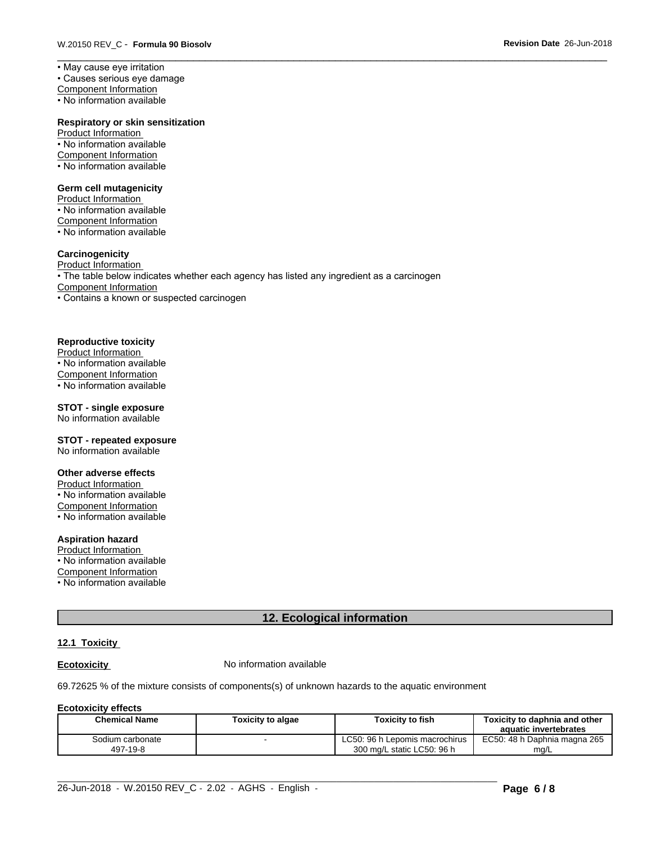• May cause eye irritation

• Causes serious eye damage

Component Information

• No information available

#### **Respiratory or skin sensitization**

Product Information • No information available Component Information • No information available

#### **Germ cell mutagenicity**

Product Information • No information available Component Information • No information available

# **Carcinogenicity**

Product Information • The table below indicates whether each agency has listed any ingredient as a carcinogen Component Information • Contains a known or suspected carcinogen

#### **Reproductive toxicity**

Product Information • No information available Component Information • No information available

# **STOT - single exposure**

No information available

#### **STOT - repeated exposure** No information available

#### **Other adverse effects**

Product Information • No information available Component Information • No information available

#### **Aspiration hazard**

Product Information • No information available Component Information • No information available

# **12. Ecological information**

# **12.1 Toxicity**

**Ecotoxicity No information available** 

69.72625 % of the mixture consists of components(s) of unknown hazards to the aquatic environment

# **Ecotoxicity effects**

| Chemical Name    | <b>Toxicity to algae</b> | <b>Toxicity to fish</b>        | Toxicitv to daphnia and other<br>aquatic invertebrates |
|------------------|--------------------------|--------------------------------|--------------------------------------------------------|
| Sodium carbonate |                          | LC50: 96 h Lepomis macrochirus | EC50: 48 h Daphnia magna 265                           |
| 497-19-8         |                          | 300 mg/L static LC50: 96 h     | mg/L                                                   |

 $\_$  ,  $\_$  ,  $\_$  ,  $\_$  ,  $\_$  ,  $\_$  ,  $\_$  ,  $\_$  ,  $\_$  ,  $\_$  ,  $\_$  ,  $\_$  ,  $\_$  ,  $\_$  ,  $\_$  ,  $\_$  ,  $\_$  ,  $\_$  ,  $\_$  ,  $\_$  ,  $\_$  ,  $\_$  ,  $\_$  ,  $\_$  ,  $\_$  ,  $\_$  ,  $\_$  ,  $\_$  ,  $\_$  ,  $\_$  ,  $\_$  ,  $\_$  ,  $\_$  ,  $\_$  ,  $\_$  ,  $\_$  ,  $\_$  ,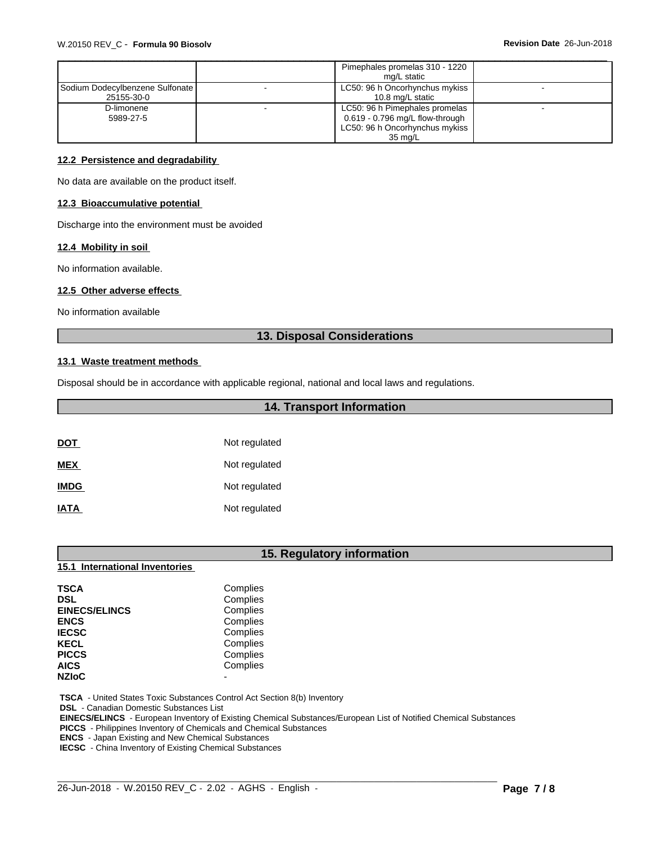|                                 | Pimephales promelas 310 - 1220    |  |
|---------------------------------|-----------------------------------|--|
|                                 | ma/L static                       |  |
| Sodium Dodecylbenzene Sulfonate | LC50: 96 h Oncorhynchus mykiss    |  |
| 25155-30-0                      | 10.8 mg/L static                  |  |
| D-limonene                      | LC50: 96 h Pimephales promelas    |  |
| 5989-27-5                       | $0.619 - 0.796$ mg/L flow-through |  |
|                                 | LC50: 96 h Oncorhynchus mykiss    |  |
|                                 | 35 ma/L                           |  |

#### **12.2 Persistence and degradability**

No data are available on the product itself.

#### **12.3 Bioaccumulative potential**

Discharge into the environment must be avoided

#### **12.4 Mobility in soil**

No information available.

#### **12.5 Other adverse effects**

No information available

# **13. Disposal Considerations**

#### **13.1 Waste treatment methods**

Disposal should be in accordance with applicable regional, national and local laws and regulations.

# **14. Transport Information**

| <b>DOT</b>  | Not regulated |
|-------------|---------------|
| <b>MEX</b>  | Not regulated |
| <b>IMDG</b> | Not regulated |
| <b>IATA</b> | Not regulated |

# **15. Regulatory information**

| <b>15.1 International Inventories</b> |
|---------------------------------------|
|---------------------------------------|

| <b>TSCA</b>          | Complies |
|----------------------|----------|
| <b>DSL</b>           | Complies |
| <b>EINECS/ELINCS</b> | Complies |
| <b>ENCS</b>          | Complies |
| <b>IECSC</b>         | Complies |
| <b>KECL</b>          | Complies |
| <b>PICCS</b>         | Complies |
| <b>AICS</b>          | Complies |
| <b>NZIOC</b>         |          |

 **TSCA** - United States Toxic Substances Control Act Section 8(b) Inventory

 **DSL** - Canadian Domestic Substances List

 **EINECS/ELINCS** - European Inventory of Existing Chemical Substances/European List of Notified Chemical Substances

 $\_$  ,  $\_$  ,  $\_$  ,  $\_$  ,  $\_$  ,  $\_$  ,  $\_$  ,  $\_$  ,  $\_$  ,  $\_$  ,  $\_$  ,  $\_$  ,  $\_$  ,  $\_$  ,  $\_$  ,  $\_$  ,  $\_$  ,  $\_$  ,  $\_$  ,  $\_$  ,  $\_$  ,  $\_$  ,  $\_$  ,  $\_$  ,  $\_$  ,  $\_$  ,  $\_$  ,  $\_$  ,  $\_$  ,  $\_$  ,  $\_$  ,  $\_$  ,  $\_$  ,  $\_$  ,  $\_$  ,  $\_$  ,  $\_$  ,

 **PICCS** - Philippines Inventory of Chemicals and Chemical Substances

 **ENCS** - Japan Existing and New Chemical Substances

 **IECSC** - China Inventory of Existing Chemical Substances